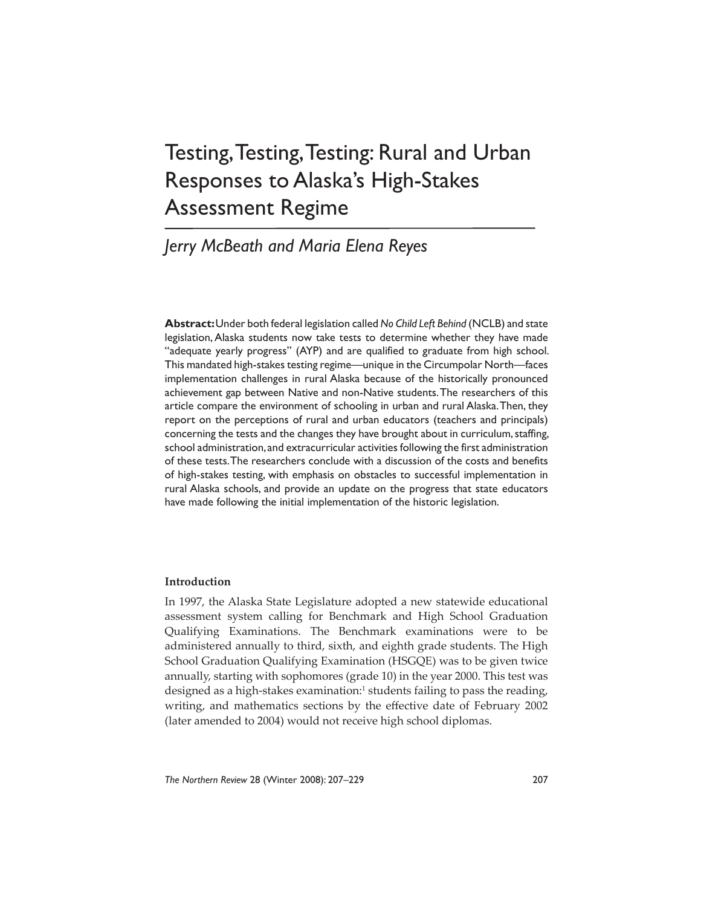# Testing, Testing, Testing: Rural and Urban Responses to Alaska's High-Stakes Assessment Regime

# *Jerry McBeath and Maria Elena Reyes*

**Abstract:** Under both federal legislation called *No Child Left Behind* (NCLB) and state legislation, Alaska students now take tests to determine whether they have made "adequate yearly progress" (AYP) and are qualified to graduate from high school. This mandated high-stakes testing regime—unique in the Circumpolar North—faces implementation challenges in rural Alaska because of the historically pronounced achievement gap between Native and non-Native students. The researchers of this article compare the environment of schooling in urban and rural Alaska. Then, they report on the perceptions of rural and urban educators (teachers and principals) concerning the tests and the changes they have brought about in curriculum, staffing, school administration, and extracurricular activities following the first administration of these tests. The researchers conclude with a discussion of the costs and benefits of high-stakes testing, with emphasis on obstacles to successful implementation in rural Alaska schools, and provide an update on the progress that state educators have made following the initial implementation of the historic legislation.

# **Introduction**

In 1997, the Alaska State Legislature adopted a new statewide educational assessment system calling for Benchmark and High School Graduation Qualifying Examinations. The Benchmark examinations were to be administered annually to third, sixth, and eighth grade students. The High School Graduation Qualifying Examination (HSGQE) was to be given twice annually, starting with sophomores (grade 10) in the year 2000. This test was designed as a high-stakes examination:<sup>1</sup> students failing to pass the reading, writing, and mathematics sections by the effective date of February 2002 (later amended to 2004) would not receive high school diplomas.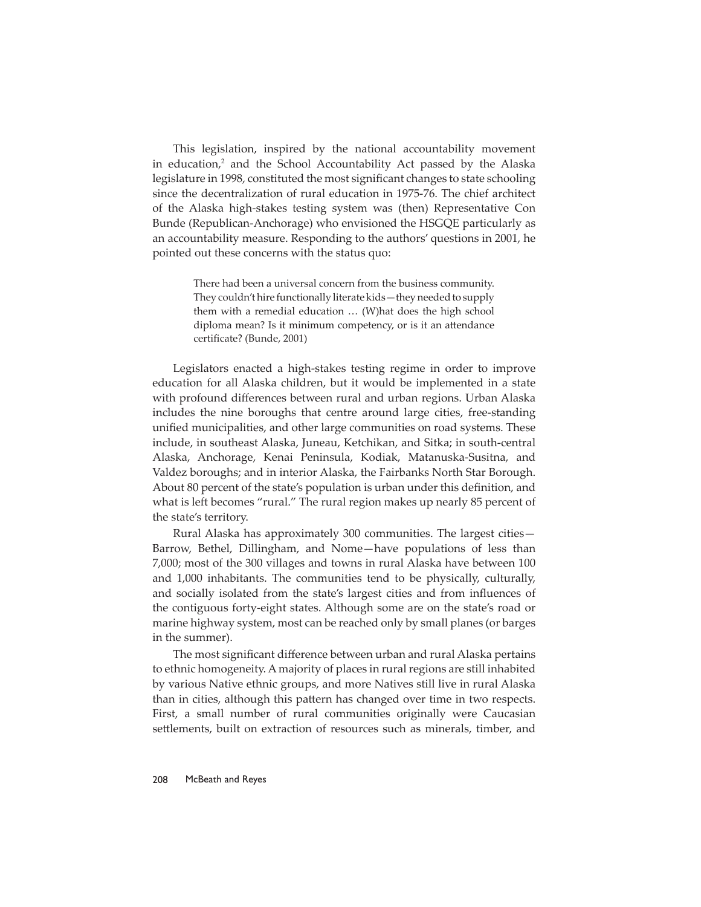This legislation, inspired by the national accountability movement in education, $2$  and the School Accountability Act passed by the Alaska legislature in 1998, constituted the most significant changes to state schooling since the decentralization of rural education in 1975-76. The chief architect of the Alaska high-stakes testing system was (then) Representative Con Bunde (Republican-Anchorage) who envisioned the HSGQE particularly as an accountability measure. Responding to the authors' questions in 2001, he pointed out these concerns with the status quo:

> There had been a universal concern from the business community. They couldn't hire functionally literate kids—they needed to supply them with a remedial education … (W)hat does the high school diploma mean? Is it minimum competency, or is it an attendance certificate? (Bunde, 2001)

Legislators enacted a high-stakes testing regime in order to improve education for all Alaska children, but it would be implemented in a state with profound differences between rural and urban regions. Urban Alaska includes the nine boroughs that centre around large cities, free-standing unified municipalities, and other large communities on road systems. These include, in southeast Alaska, Juneau, Ketchikan, and Sitka; in south-central Alaska, Anchorage, Kenai Peninsula, Kodiak, Matanuska-Susitna, and Valdez boroughs; and in interior Alaska, the Fairbanks North Star Borough. About 80 percent of the state's population is urban under this definition, and what is left becomes "rural." The rural region makes up nearly 85 percent of the state's territory.

Rural Alaska has approximately 300 communities. The largest cities— Barrow, Bethel, Dillingham, and Nome—have populations of less than 7,000; most of the 300 villages and towns in rural Alaska have between 100 and 1,000 inhabitants. The communities tend to be physically, culturally, and socially isolated from the state's largest cities and from influences of the contiguous forty-eight states. Although some are on the state's road or marine highway system, most can be reached only by small planes (or barges in the summer).

The most significant difference between urban and rural Alaska pertains to ethnic homogeneity. A majority of places in rural regions are still inhabited by various Native ethnic groups, and more Natives still live in rural Alaska than in cities, although this pattern has changed over time in two respects. First, a small number of rural communities originally were Caucasian settlements, built on extraction of resources such as minerals, timber, and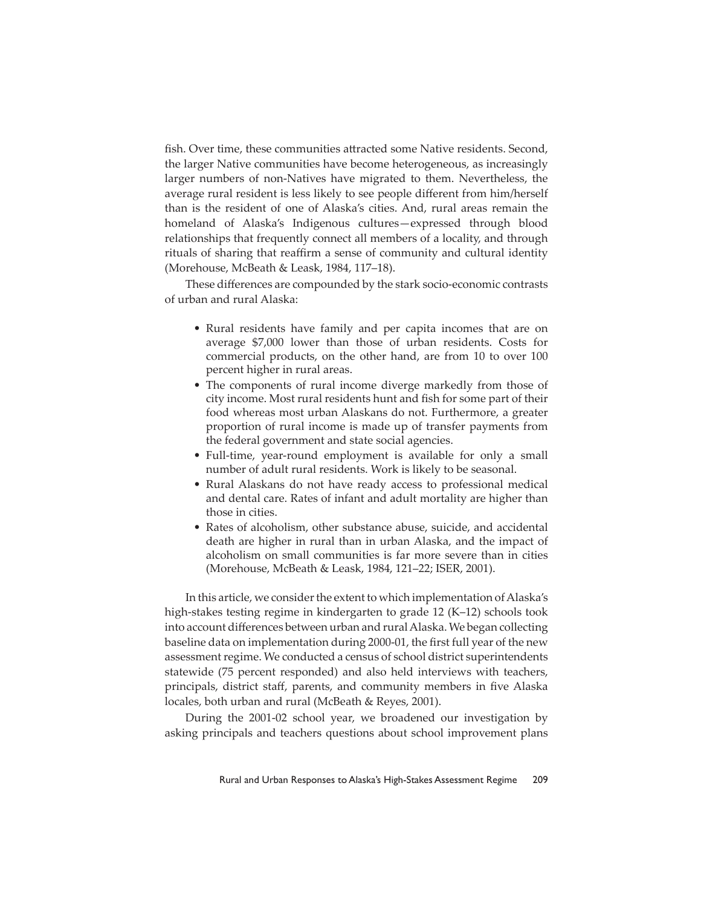fish. Over time, these communities attracted some Native residents. Second, the larger Native communities have become heterogeneous, as increasingly larger numbers of non-Natives have migrated to them. Nevertheless, the average rural resident is less likely to see people different from him/herself than is the resident of one of Alaska's cities. And, rural areas remain the homeland of Alaska's Indigenous cultures—expressed through blood relationships that frequently connect all members of a locality, and through rituals of sharing that reaffirm a sense of community and cultural identity (Morehouse, McBeath & Leask, 1984, 117–18).

These differences are compounded by the stark socio-economic contrasts of urban and rural Alaska:

- Rural residents have family and per capita incomes that are on average \$7,000 lower than those of urban residents. Costs for commercial products, on the other hand, are from 10 to over 100 percent higher in rural areas.
- The components of rural income diverge markedly from those of city income. Most rural residents hunt and fish for some part of their food whereas most urban Alaskans do not. Furthermore, a greater proportion of rural income is made up of transfer payments from the federal government and state social agencies.
- Full-time, year-round employment is available for only a small number of adult rural residents. Work is likely to be seasonal.
- Rural Alaskans do not have ready access to professional medical and dental care. Rates of infant and adult mortality are higher than those in cities.
- Rates of alcoholism, other substance abuse, suicide, and accidental death are higher in rural than in urban Alaska, and the impact of alcoholism on small communities is far more severe than in cities (Morehouse, McBeath & Leask, 1984, 121–22; ISER, 2001).

In this article, we consider the extent to which implementation of Alaska's high-stakes testing regime in kindergarten to grade 12 (K–12) schools took into account differences between urban and rural Alaska. We began collecting baseline data on implementation during 2000-01, the first full year of the new assessment regime. We conducted a census of school district superintendents statewide (75 percent responded) and also held interviews with teachers, principals, district staff, parents, and community members in five Alaska locales, both urban and rural (McBeath & Reyes, 2001).

During the 2001-02 school year, we broadened our investigation by asking principals and teachers questions about school improvement plans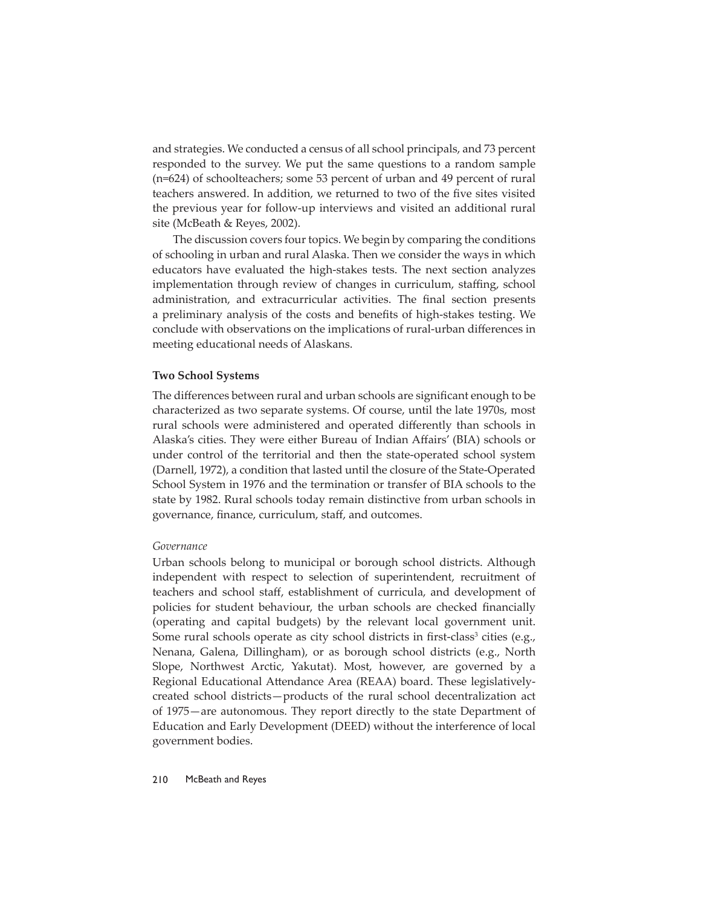and strategies. We conducted a census of all school principals, and 73 percent responded to the survey. We put the same questions to a random sample (n=624) of schoolteachers; some 53 percent of urban and 49 percent of rural teachers answered. In addition, we returned to two of the five sites visited the previous year for follow-up interviews and visited an additional rural site (McBeath & Reyes, 2002).

The discussion covers four topics. We begin by comparing the conditions of schooling in urban and rural Alaska. Then we consider the ways in which educators have evaluated the high-stakes tests. The next section analyzes implementation through review of changes in curriculum, staffing, school administration, and extracurricular activities. The final section presents a preliminary analysis of the costs and benefits of high-stakes testing. We conclude with observations on the implications of rural-urban differences in meeting educational needs of Alaskans.

# **Two School Systems**

The differences between rural and urban schools are significant enough to be characterized as two separate systems. Of course, until the late 1970s, most rural schools were administered and operated differently than schools in Alaska's cities. They were either Bureau of Indian Affairs' (BIA) schools or under control of the territorial and then the state-operated school system (Darnell, 1972), a condition that lasted until the closure of the State-Operated School System in 1976 and the termination or transfer of BIA schools to the state by 1982. Rural schools today remain distinctive from urban schools in governance, finance, curriculum, staff, and outcomes.

#### *Governance*

Urban schools belong to municipal or borough school districts. Although independent with respect to selection of superintendent, recruitment of teachers and school staff, establishment of curricula, and development of policies for student behaviour, the urban schools are checked financially (operating and capital budgets) by the relevant local government unit. Some rural schools operate as city school districts in first-class<sup>3</sup> cities (e.g., Nenana, Galena, Dillingham), or as borough school districts (e.g., North Slope, Northwest Arctic, Yakutat). Most, however, are governed by a Regional Educational Attendance Area (REAA) board. These legislativelycreated school districts—products of the rural school decentralization act of 1975—are autonomous. They report directly to the state Department of Education and Early Development (DEED) without the interference of local government bodies.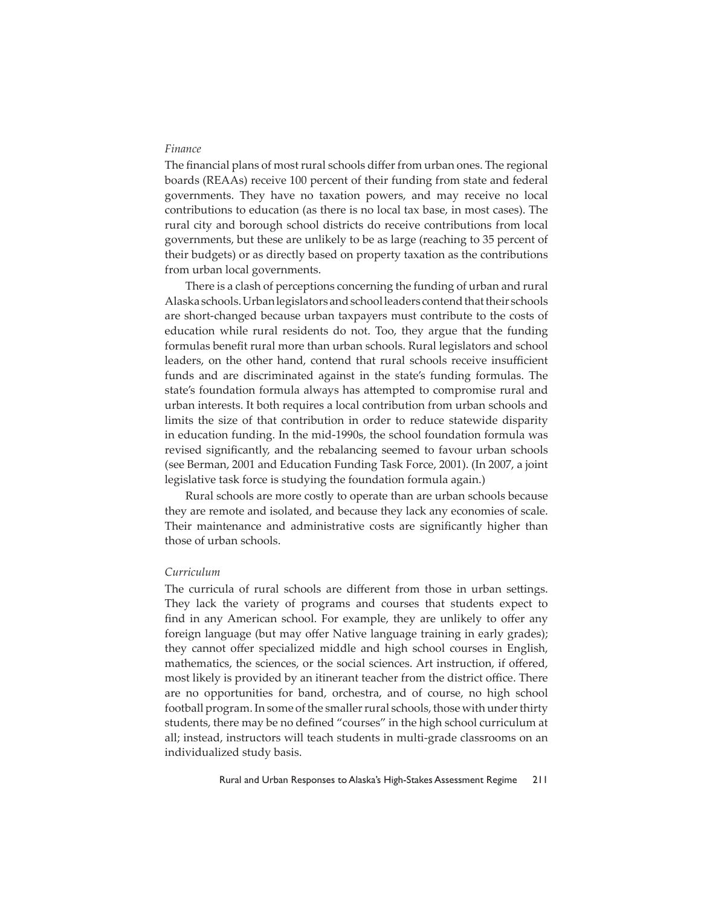# *Finance*

The financial plans of most rural schools differ from urban ones. The regional boards (REAAs) receive 100 percent of their funding from state and federal governments. They have no taxation powers, and may receive no local contributions to education (as there is no local tax base, in most cases). The rural city and borough school districts do receive contributions from local governments, but these are unlikely to be as large (reaching to 35 percent of their budgets) or as directly based on property taxation as the contributions from urban local governments.

There is a clash of perceptions concerning the funding of urban and rural Alaska schools. Urban legislators and school leaders contend that their schools are short-changed because urban taxpayers must contribute to the costs of education while rural residents do not. Too, they argue that the funding formulas benefit rural more than urban schools. Rural legislators and school leaders, on the other hand, contend that rural schools receive insufficient funds and are discriminated against in the state's funding formulas. The state's foundation formula always has attempted to compromise rural and urban interests. It both requires a local contribution from urban schools and limits the size of that contribution in order to reduce statewide disparity in education funding. In the mid-1990s, the school foundation formula was revised significantly, and the rebalancing seemed to favour urban schools (see Berman, 2001 and Education Funding Task Force, 2001). (In 2007, a joint legislative task force is studying the foundation formula again.)

Rural schools are more costly to operate than are urban schools because they are remote and isolated, and because they lack any economies of scale. Their maintenance and administrative costs are significantly higher than those of urban schools.

# *Curriculum*

The curricula of rural schools are different from those in urban settings. They lack the variety of programs and courses that students expect to find in any American school. For example, they are unlikely to offer any foreign language (but may offer Native language training in early grades); they cannot offer specialized middle and high school courses in English, mathematics, the sciences, or the social sciences. Art instruction, if offered, most likely is provided by an itinerant teacher from the district office. There are no opportunities for band, orchestra, and of course, no high school football program. In some of the smaller rural schools, those with under thirty students, there may be no defined "courses" in the high school curriculum at all; instead, instructors will teach students in multi-grade classrooms on an individualized study basis.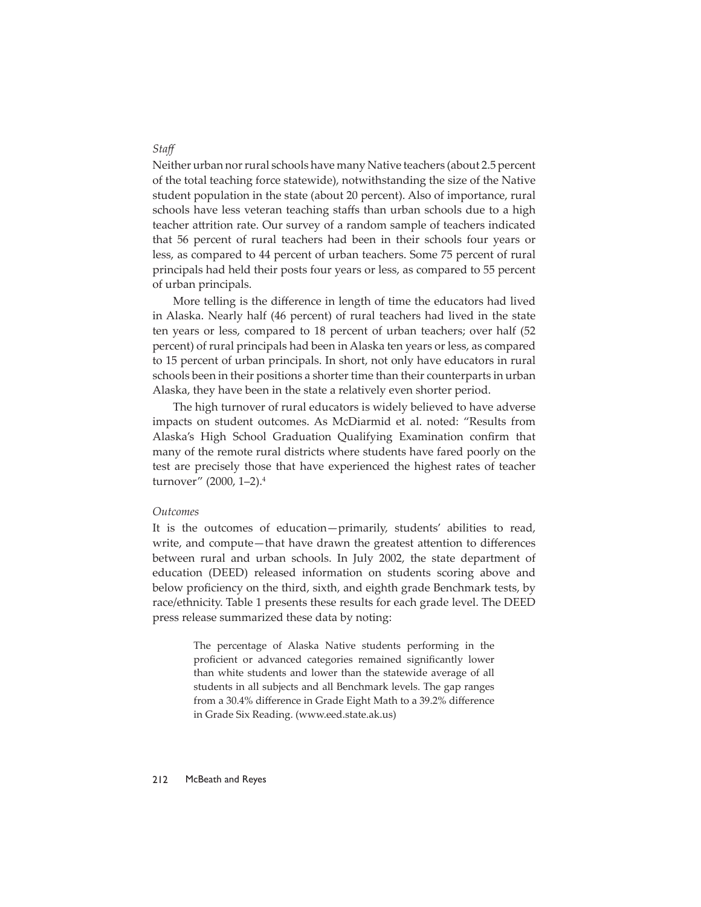Neither urban nor rural schools have many Native teachers (about 2.5 percent of the total teaching force statewide), notwithstanding the size of the Native student population in the state (about 20 percent). Also of importance, rural schools have less veteran teaching staffs than urban schools due to a high teacher attrition rate. Our survey of a random sample of teachers indicated that 56 percent of rural teachers had been in their schools four years or less, as compared to 44 percent of urban teachers. Some 75 percent of rural principals had held their posts four years or less, as compared to 55 percent of urban principals.

More telling is the difference in length of time the educators had lived in Alaska. Nearly half (46 percent) of rural teachers had lived in the state ten years or less, compared to 18 percent of urban teachers; over half (52 percent) of rural principals had been in Alaska ten years or less, as compared to 15 percent of urban principals. In short, not only have educators in rural schools been in their positions a shorter time than their counterparts in urban Alaska, they have been in the state a relatively even shorter period.

The high turnover of rural educators is widely believed to have adverse impacts on student outcomes. As McDiarmid et al. noted: "Results from Alaska's High School Graduation Qualifying Examination confirm that many of the remote rural districts where students have fared poorly on the test are precisely those that have experienced the highest rates of teacher turnover" (2000, 1–2).4

# *Outcomes*

It is the outcomes of education—primarily, students' abilities to read, write, and compute—that have drawn the greatest attention to differences between rural and urban schools. In July 2002, the state department of education (DEED) released information on students scoring above and below proficiency on the third, sixth, and eighth grade Benchmark tests, by race/ethnicity. Table 1 presents these results for each grade level. The DEED press release summarized these data by noting:

> The percentage of Alaska Native students performing in the proficient or advanced categories remained significantly lower than white students and lower than the statewide average of all students in all subjects and all Benchmark levels. The gap ranges from a 30.4% difference in Grade Eight Math to a 39.2% difference in Grade Six Reading. (www.eed.state.ak.us)

# *Staff*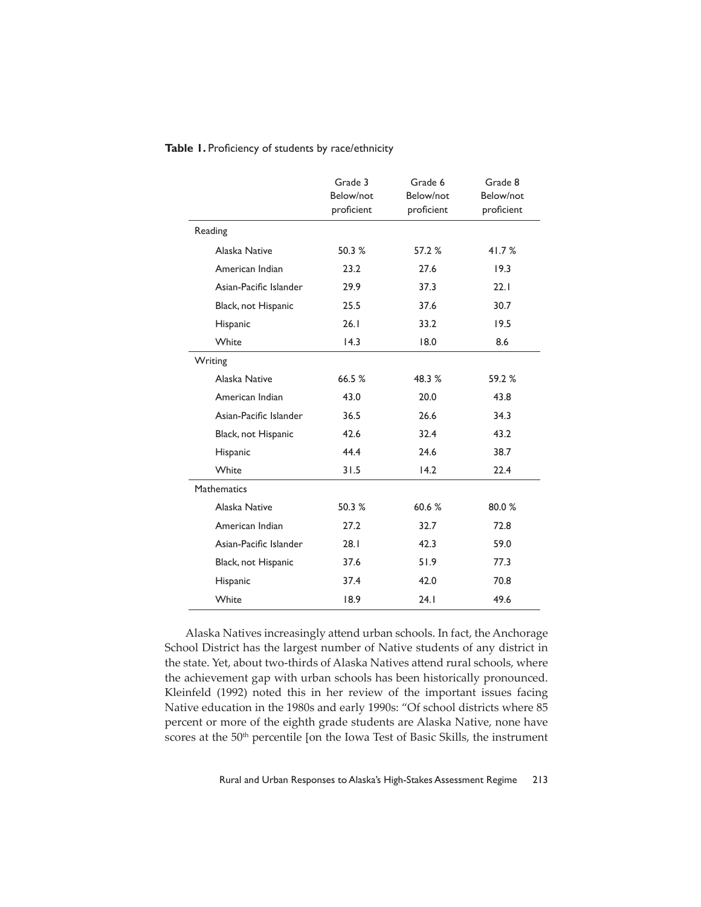|                        | Grade 3<br>Below/not<br>proficient | Grade 6<br>Below/not<br>proficient | Grade 8<br>Below/not<br>proficient |
|------------------------|------------------------------------|------------------------------------|------------------------------------|
| Reading                |                                    |                                    |                                    |
| Alaska Native          | 50.3%                              | 57.2 %                             | 41.7%                              |
| American Indian        | 23.2                               | 27.6                               | 19.3                               |
| Asian-Pacific Islander | 29.9                               | 37.3                               | 22.1                               |
| Black, not Hispanic    | 25.5                               | 37.6                               | 30.7                               |
| Hispanic               | 26.1                               | 33.2                               | 19.5                               |
| White                  | 14.3                               | 18.0                               | 8.6                                |
| Writing                |                                    |                                    |                                    |
| Alaska Native          | 66.5%                              | 48.3 %                             | 59.2%                              |
| American Indian        | 43.0                               | 20.0                               | 43.8                               |
| Asian-Pacific Islander | 36.5                               | 26.6                               | 34.3                               |
| Black, not Hispanic    | 42.6                               | 32.4                               | 43.2                               |
| Hispanic               | 44.4                               | 24.6                               | 38.7                               |
| White                  | 31.5                               | 14.2                               | 22.4                               |
| <b>Mathematics</b>     |                                    |                                    |                                    |
| Alaska Native          | 50.3 %                             | 60.6%                              | 80.0%                              |
| American Indian        | 27.2                               | 32.7                               | 72.8                               |
| Asian-Pacific Islander | 28.1                               | 42.3                               | 59.0                               |
| Black, not Hispanic    | 37.6                               | 51.9                               | 77.3                               |
| Hispanic               | 37.4                               | 42.0                               | 70.8                               |
| White                  | 18.9                               | 24.1                               | 49.6                               |

Table 1. Proficiency of students by race/ethnicity

Alaska Natives increasingly attend urban schools. In fact, the Anchorage School District has the largest number of Native students of any district in the state. Yet, about two-thirds of Alaska Natives attend rural schools, where the achievement gap with urban schools has been historically pronounced. Kleinfeld (1992) noted this in her review of the important issues facing Native education in the 1980s and early 1990s: "Of school districts where 85 percent or more of the eighth grade students are Alaska Native, none have scores at the 50<sup>th</sup> percentile [on the Iowa Test of Basic Skills, the instrument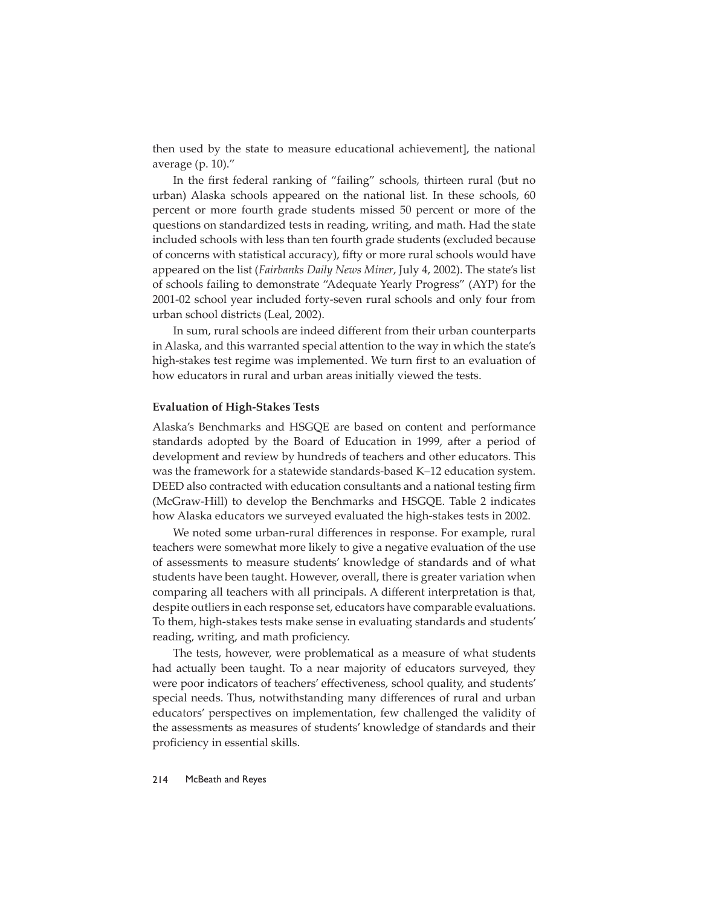then used by the state to measure educational achievement], the national average (p. 10)."

In the first federal ranking of "failing" schools, thirteen rural (but no urban) Alaska schools appeared on the national list. In these schools, 60 percent or more fourth grade students missed 50 percent or more of the questions on standardized tests in reading, writing, and math. Had the state included schools with less than ten fourth grade students (excluded because of concerns with statistical accuracy), fifty or more rural schools would have appeared on the list (*Fairbanks Daily News Miner*, July 4, 2002). The state's list of schools failing to demonstrate "Adequate Yearly Progress" (AYP) for the 2001-02 school year included forty-seven rural schools and only four from urban school districts (Leal, 2002).

In sum, rural schools are indeed different from their urban counterparts in Alaska, and this warranted special attention to the way in which the state's high-stakes test regime was implemented. We turn first to an evaluation of how educators in rural and urban areas initially viewed the tests.

#### **Evaluation of High-Stakes Tests**

Alaska's Benchmarks and HSGQE are based on content and performance standards adopted by the Board of Education in 1999, after a period of development and review by hundreds of teachers and other educators. This was the framework for a statewide standards-based K–12 education system. DEED also contracted with education consultants and a national testing firm (McGraw-Hill) to develop the Benchmarks and HSGQE. Table 2 indicates how Alaska educators we surveyed evaluated the high-stakes tests in 2002.

We noted some urban-rural differences in response. For example, rural teachers were somewhat more likely to give a negative evaluation of the use of assessments to measure students' knowledge of standards and of what students have been taught. However, overall, there is greater variation when comparing all teachers with all principals. A different interpretation is that, despite outliers in each response set, educators have comparable evaluations. To them, high-stakes tests make sense in evaluating standards and students' reading, writing, and math proficiency.

The tests, however, were problematical as a measure of what students had actually been taught. To a near majority of educators surveyed, they were poor indicators of teachers' effectiveness, school quality, and students' special needs. Thus, notwithstanding many differences of rural and urban educators' perspectives on implementation, few challenged the validity of the assessments as measures of students' knowledge of standards and their proficiency in essential skills.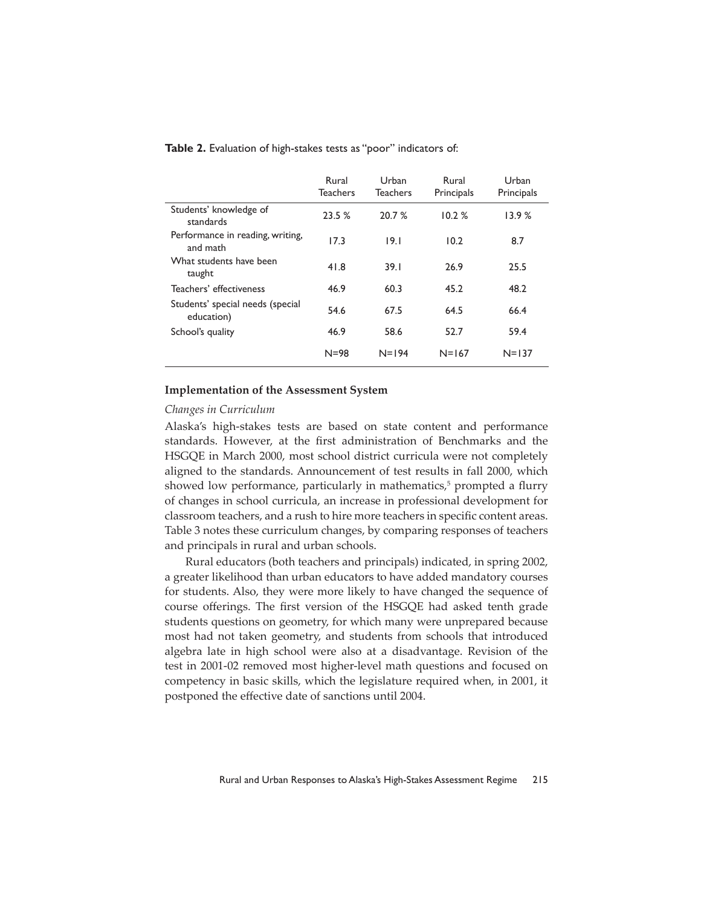|                                                | Rural<br><b>Teachers</b> | Urban<br><b>Teachers</b> | Rural<br>Principals | Urban<br>Principals |
|------------------------------------------------|--------------------------|--------------------------|---------------------|---------------------|
| Students' knowledge of<br>standards            | 23.5%                    | 20.7%                    | 10.2%               | 13.9%               |
| Performance in reading, writing,<br>and math   | 17.3                     | 19.1                     | 10.2                | 8.7                 |
| What students have been<br>taught              | 41.8                     | 39.1                     | 26.9                | 25.5                |
| Teachers' effectiveness                        | 46.9                     | 60.3                     | 45.2                | 48.2                |
| Students' special needs (special<br>education) | 54.6                     | 67.5                     | 64.5                | 66.4                |
| School's quality                               | 46.9                     | 58.6                     | 52.7                | 59.4                |
|                                                | $N = 98$                 | $N = 194$                | $N = 167$           | $N = 137$           |

**Table 2.** Evaluation of high-stakes tests as "poor" indicators of:

# **Implementation of the Assessment System**

# *Changes in Curriculum*

Alaska's high-stakes tests are based on state content and performance standards. However, at the first administration of Benchmarks and the HSGQE in March 2000, most school district curricula were not completely aligned to the standards. Announcement of test results in fall 2000, which showed low performance, particularly in mathematics,<sup>5</sup> prompted a flurry of changes in school curricula, an increase in professional development for classroom teachers, and a rush to hire more teachers in specific content areas. Table 3 notes these curriculum changes, by comparing responses of teachers and principals in rural and urban schools.

Rural educators (both teachers and principals) indicated, in spring 2002, a greater likelihood than urban educators to have added mandatory courses for students. Also, they were more likely to have changed the sequence of course offerings. The first version of the HSGQE had asked tenth grade students questions on geometry, for which many were unprepared because most had not taken geometry, and students from schools that introduced algebra late in high school were also at a disadvantage. Revision of the test in 2001-02 removed most higher-level math questions and focused on competency in basic skills, which the legislature required when, in 2001, it postponed the effective date of sanctions until 2004.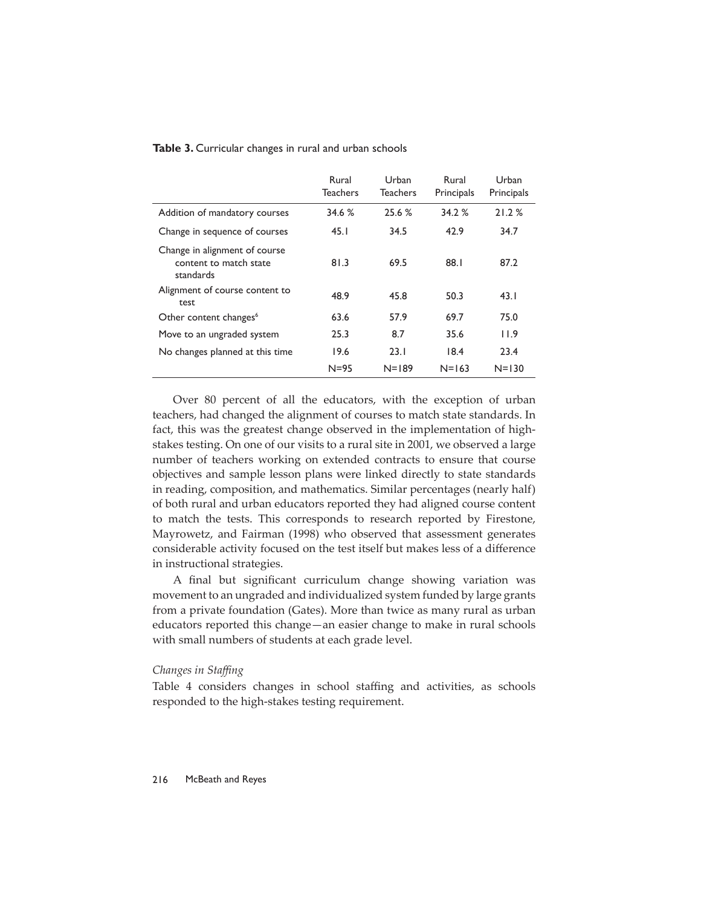|                                                                      | Rural<br><b>Teachers</b> | Urban<br><b>Teachers</b> | Rural<br>Principals | Urban<br>Principals |
|----------------------------------------------------------------------|--------------------------|--------------------------|---------------------|---------------------|
| Addition of mandatory courses                                        | 34.6 %                   | 25.6 %                   | 34.2 %              | 21.2%               |
| Change in sequence of courses                                        | 45.1                     | 34.5                     | 42.9                | 34.7                |
| Change in alignment of course<br>content to match state<br>standards | 81.3                     | 69.5                     | 88.I                | 87.2                |
| Alignment of course content to<br>test                               | 48.9                     | 45.8                     | 50.3                | 43.1                |
| Other content changes <sup>6</sup>                                   | 63.6                     | 57.9                     | 69.7                | 75.0                |
| Move to an ungraded system                                           | 25.3                     | 8.7                      | 35.6                | 11.9                |
| No changes planned at this time                                      | 19.6                     | 23.1                     | 18.4                | 23.4                |
|                                                                      | $N = 95$                 | $N = 189$                | $N = 163$           | $N = 130$           |

**Table 3.** Curricular changes in rural and urban schools

Over 80 percent of all the educators, with the exception of urban teachers, had changed the alignment of courses to match state standards. In fact, this was the greatest change observed in the implementation of highstakes testing. On one of our visits to a rural site in 2001, we observed a large number of teachers working on extended contracts to ensure that course objectives and sample lesson plans were linked directly to state standards in reading, composition, and mathematics. Similar percentages (nearly half) of both rural and urban educators reported they had aligned course content to match the tests. This corresponds to research reported by Firestone, Mayrowetz, and Fairman (1998) who observed that assessment generates considerable activity focused on the test itself but makes less of a difference in instructional strategies.

A final but significant curriculum change showing variation was movement to an ungraded and individualized system funded by large grants from a private foundation (Gates). More than twice as many rural as urban educators reported this change—an easier change to make in rural schools with small numbers of students at each grade level.

# *Changes in Staffi ng*

Table 4 considers changes in school staffing and activities, as schools responded to the high-stakes testing requirement.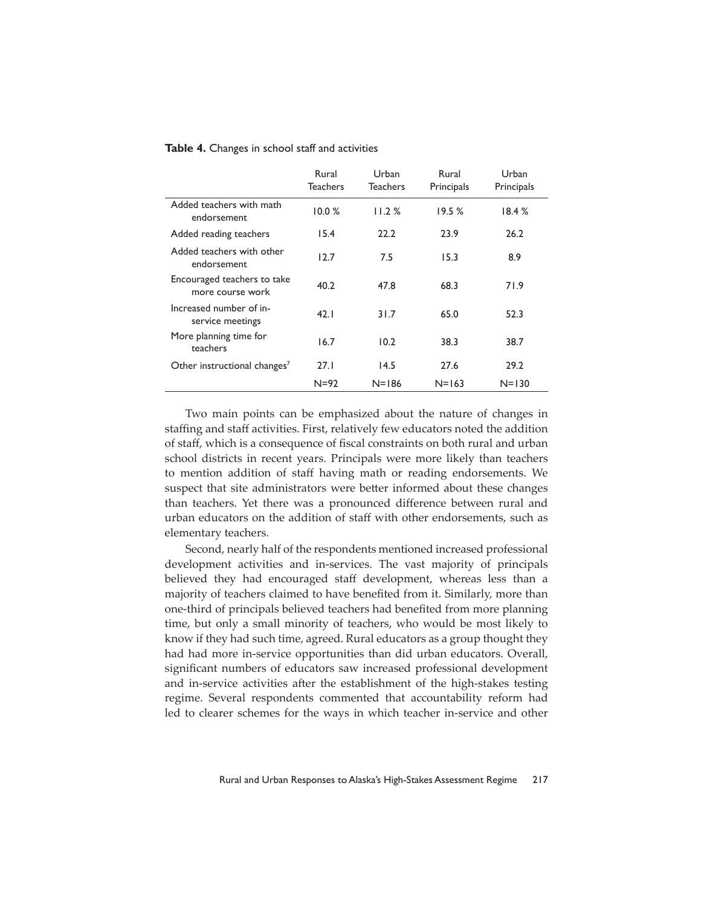|  |  |  |  |  |  | Table 4. Changes in school staff and activities |
|--|--|--|--|--|--|-------------------------------------------------|
|--|--|--|--|--|--|-------------------------------------------------|

|                                                 | Rural<br><b>Teachers</b> | Urban<br><b>Teachers</b> | Rural<br>Principals | Urban<br>Principals |
|-------------------------------------------------|--------------------------|--------------------------|---------------------|---------------------|
| Added teachers with math<br>endorsement         | 10.0%                    | 11.2%                    | 19.5%               | 18.4%               |
| Added reading teachers                          | 15.4                     | 22.2                     | 23.9                | 26.2                |
| Added teachers with other<br>endorsement        | 12.7                     | 7.5                      | 15.3                | 8.9                 |
| Encouraged teachers to take<br>more course work | 40.2                     | 47.8                     | 68.3                | 71.9                |
| Increased number of in-<br>service meetings     | 42.1                     | 31.7                     | 65.0                | 52.3                |
| More planning time for<br>teachers              | 16.7                     | 10.2                     | 38.3                | 38.7                |
| Other instructional changes <sup>7</sup>        | 27.1                     | 14.5                     | 27.6                | 29.2                |
|                                                 | $N = 92$                 | $N = 186$                | $N = 163$           | $N = 130$           |

Two main points can be emphasized about the nature of changes in staffing and staff activities. First, relatively few educators noted the addition of staff, which is a consequence of fiscal constraints on both rural and urban school districts in recent years. Principals were more likely than teachers to mention addition of staff having math or reading endorsements. We suspect that site administrators were better informed about these changes than teachers. Yet there was a pronounced difference between rural and urban educators on the addition of staff with other endorsements, such as elementary teachers.

Second, nearly half of the respondents mentioned increased professional development activities and in-services. The vast majority of principals believed they had encouraged staff development, whereas less than a majority of teachers claimed to have benefited from it. Similarly, more than one-third of principals believed teachers had benefited from more planning time, but only a small minority of teachers, who would be most likely to know if they had such time, agreed. Rural educators as a group thought they had had more in-service opportunities than did urban educators. Overall, significant numbers of educators saw increased professional development and in-service activities after the establishment of the high-stakes testing regime. Several respondents commented that accountability reform had led to clearer schemes for the ways in which teacher in-service and other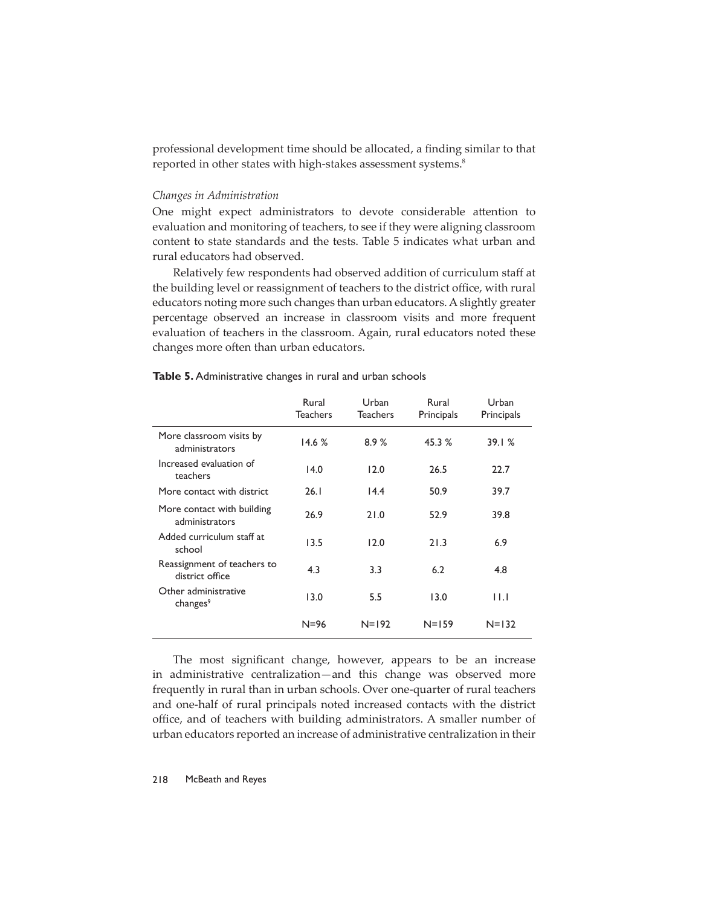professional development time should be allocated, a finding similar to that reported in other states with high-stakes assessment systems.<sup>8</sup>

# *Changes in Administration*

One might expect administrators to devote considerable attention to evaluation and monitoring of teachers, to see if they were aligning classroom content to state standards and the tests. Table 5 indicates what urban and rural educators had observed.

Relatively few respondents had observed addition of curriculum staff at the building level or reassignment of teachers to the district office, with rural educators noting more such changes than urban educators. A slightly greater percentage observed an increase in classroom visits and more frequent evaluation of teachers in the classroom. Again, rural educators noted these changes more often than urban educators.

|                                                | Rural<br><b>Teachers</b> | Urban<br><b>Teachers</b> | Rural<br>Principals | Urban<br>Principals |
|------------------------------------------------|--------------------------|--------------------------|---------------------|---------------------|
| More classroom visits by<br>administrators     | 14.6%                    | 8.9%                     | 45.3 %              | 39.1%               |
| Increased evaluation of<br>teachers            | 14.0                     | 12.0                     | 26.5                | 22.7                |
| More contact with district                     | 26.1                     | 14.4                     | 50.9                | 39.7                |
| More contact with building<br>administrators   | 26.9                     | 21.0                     | 52.9                | 39.8                |
| Added curriculum staff at<br>school            | 13.5                     | 12.0                     | 21.3                | 6.9                 |
| Reassignment of teachers to<br>district office | 4.3                      | 3.3                      | 6.2                 | 4.8                 |
| Other administrative<br>changes <sup>9</sup>   | 13.0                     | 5.5                      | 13.0                | ШJ                  |
|                                                | $N = 96$                 | $N = 192$                | $N = 159$           | $N = 132$           |

#### **Table 5.** Administrative changes in rural and urban schools

The most significant change, however, appears to be an increase in administrative centralization—and this change was observed more frequently in rural than in urban schools. Over one-quarter of rural teachers and one-half of rural principals noted increased contacts with the district office, and of teachers with building administrators. A smaller number of urban educators reported an increase of administrative centralization in their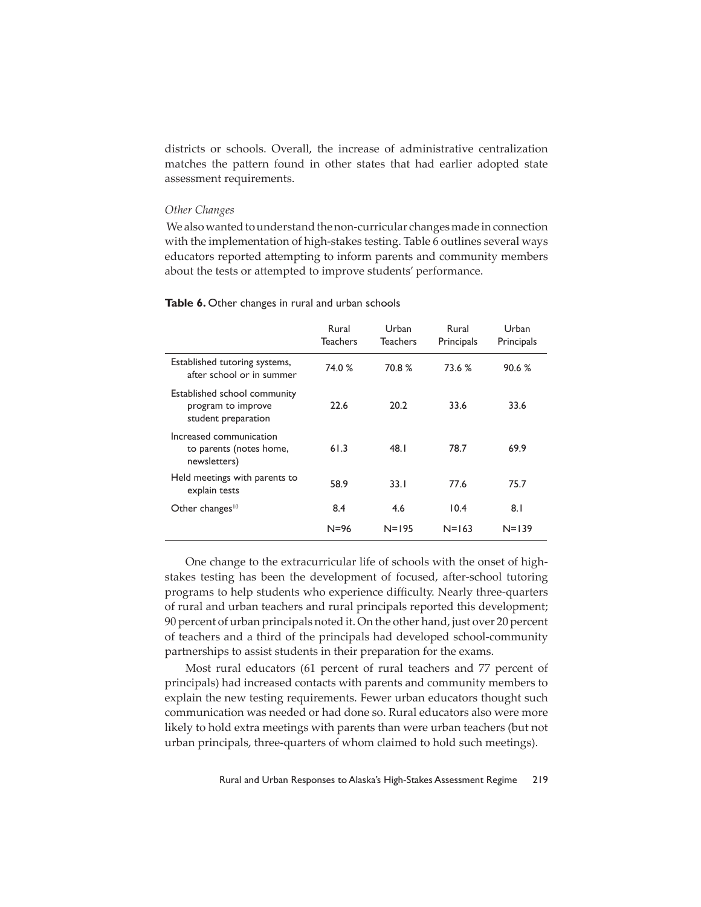districts or schools. Overall, the increase of administrative centralization matches the pattern found in other states that had earlier adopted state assessment requirements.

#### *Other Changes*

We also wanted to understand the non-curricular changes made in connection with the implementation of high-stakes testing. Table 6 outlines several ways educators reported attempting to inform parents and community members about the tests or attempted to improve students' performance.

# Table **6.** Other changes in rural and urban schools

|                                                                           | Rural<br><b>Teachers</b> | Urban<br>Teachers | Rural<br>Principals | Urban<br>Principals |
|---------------------------------------------------------------------------|--------------------------|-------------------|---------------------|---------------------|
| Established tutoring systems,<br>after school or in summer                | 74.0 %                   | 70.8 %            | 73.6 %              | 90.6%               |
| Established school community<br>program to improve<br>student preparation | 22.6                     | 20.2              | 33.6                | 33.6                |
| Increased communication<br>to parents (notes home,<br>newsletters)        | 61.3                     | 48.I              | 78.7                | 69.9                |
| Held meetings with parents to<br>explain tests                            | 58.9                     | 33.1              | 77.6                | 75.7                |
| Other changes $10$                                                        | 8.4                      | 4.6               | 10.4                | 8.1                 |
|                                                                           | $N = 96$                 | $N = 195$         | $N = 163$           | $N = 139$           |

One change to the extracurricular life of schools with the onset of highstakes testing has been the development of focused, after-school tutoring programs to help students who experience difficulty. Nearly three-quarters of rural and urban teachers and rural principals reported this development; 90 percent of urban principals noted it. On the other hand, just over 20 percent of teachers and a third of the principals had developed school-community partnerships to assist students in their preparation for the exams.

Most rural educators (61 percent of rural teachers and 77 percent of principals) had increased contacts with parents and community members to explain the new testing requirements. Fewer urban educators thought such communication was needed or had done so. Rural educators also were more likely to hold extra meetings with parents than were urban teachers (but not urban principals, three-quarters of whom claimed to hold such meetings).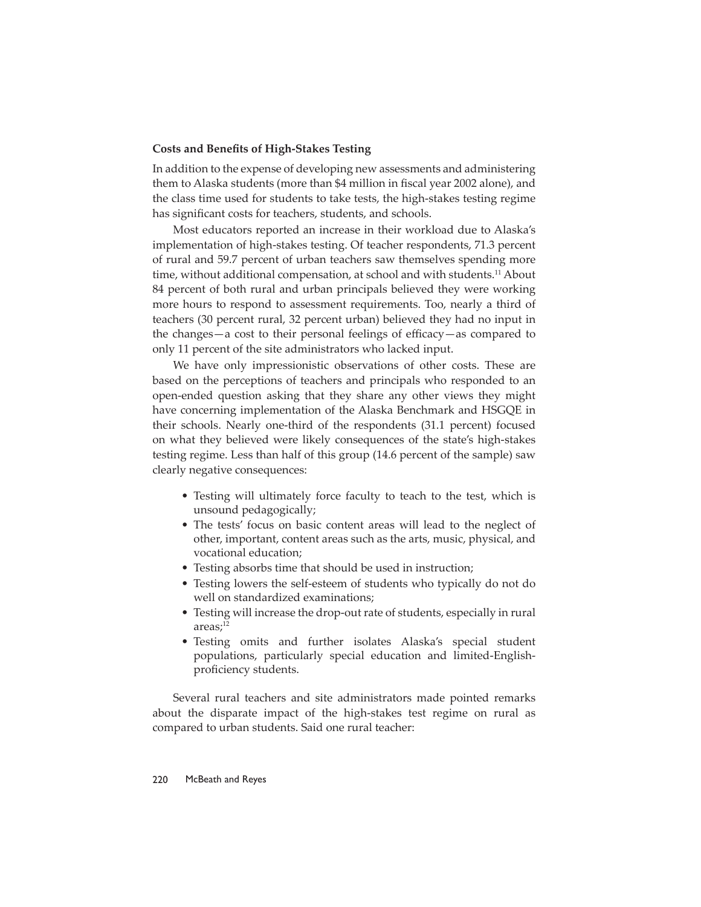# **Costs and Benefits of High-Stakes Testing**

In addition to the expense of developing new assessments and administering them to Alaska students (more than \$4 million in fiscal year 2002 alone), and the class time used for students to take tests, the high-stakes testing regime has significant costs for teachers, students, and schools.

Most educators reported an increase in their workload due to Alaska's implementation of high-stakes testing. Of teacher respondents, 71.3 percent of rural and 59.7 percent of urban teachers saw themselves spending more time, without additional compensation, at school and with students.<sup>11</sup> About 84 percent of both rural and urban principals believed they were working more hours to respond to assessment requirements. Too, nearly a third of teachers (30 percent rural, 32 percent urban) believed they had no input in the changes—a cost to their personal feelings of efficacy—as compared to only 11 percent of the site administrators who lacked input.

We have only impressionistic observations of other costs. These are based on the perceptions of teachers and principals who responded to an open-ended question asking that they share any other views they might have concerning implementation of the Alaska Benchmark and HSGQE in their schools. Nearly one-third of the respondents (31.1 percent) focused on what they believed were likely consequences of the state's high-stakes testing regime. Less than half of this group (14.6 percent of the sample) saw clearly negative consequences:

- Testing will ultimately force faculty to teach to the test, which is unsound pedagogically;
- The tests' focus on basic content areas will lead to the neglect of other, important, content areas such as the arts, music, physical, and vocational education;
- Testing absorbs time that should be used in instruction;
- Testing lowers the self-esteem of students who typically do not do well on standardized examinations;
- Testing will increase the drop-out rate of students, especially in rural areas;<sup>12</sup>
- Testing omits and further isolates Alaska's special student populations, particularly special education and limited-Englishproficiency students.

Several rural teachers and site administrators made pointed remarks about the disparate impact of the high-stakes test regime on rural as compared to urban students. Said one rural teacher: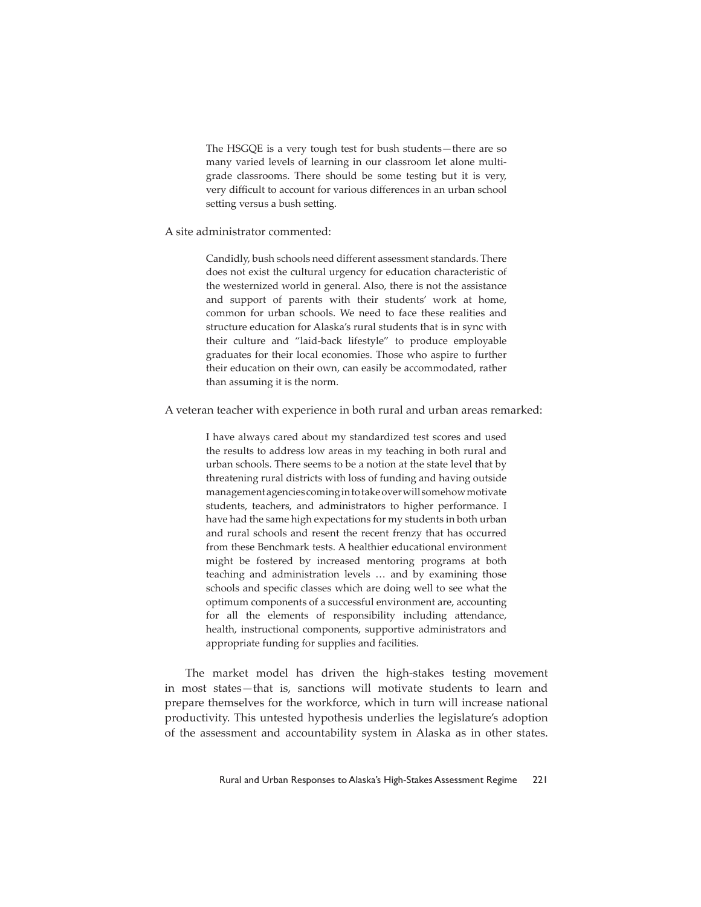The HSGQE is a very tough test for bush students—there are so many varied levels of learning in our classroom let alone multigrade classrooms. There should be some testing but it is very, very difficult to account for various differences in an urban school setting versus a bush setting.

# A site administrator commented:

Candidly, bush schools need different assessment standards. There does not exist the cultural urgency for education characteristic of the westernized world in general. Also, there is not the assistance and support of parents with their students' work at home, common for urban schools. We need to face these realities and structure education for Alaska's rural students that is in sync with their culture and "laid-back lifestyle" to produce employable graduates for their local economies. Those who aspire to further their education on their own, can easily be accommodated, rather than assuming it is the norm.

A veteran teacher with experience in both rural and urban areas remarked:

I have always cared about my standardized test scores and used the results to address low areas in my teaching in both rural and urban schools. There seems to be a notion at the state level that by threatening rural districts with loss of funding and having outside management agencies coming in to take over will somehow motivate students, teachers, and administrators to higher performance. I have had the same high expectations for my students in both urban and rural schools and resent the recent frenzy that has occurred from these Benchmark tests. A healthier educational environment might be fostered by increased mentoring programs at both teaching and administration levels … and by examining those schools and specific classes which are doing well to see what the optimum components of a successful environment are, accounting for all the elements of responsibility including attendance, health, instructional components, supportive administrators and appropriate funding for supplies and facilities.

The market model has driven the high-stakes testing movement in most states—that is, sanctions will motivate students to learn and prepare themselves for the workforce, which in turn will increase national productivity. This untested hypothesis underlies the legislature's adoption of the assessment and accountability system in Alaska as in other states.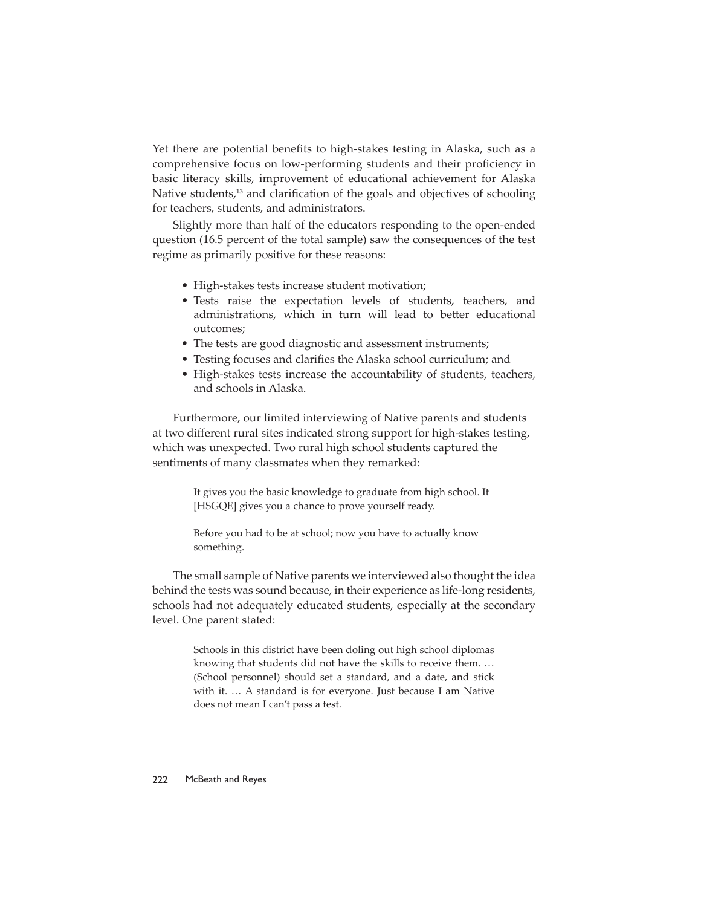Yet there are potential benefits to high-stakes testing in Alaska, such as a comprehensive focus on low-performing students and their proficiency in basic literacy skills, improvement of educational achievement for Alaska Native students,<sup>13</sup> and clarification of the goals and objectives of schooling for teachers, students, and administrators.

Slightly more than half of the educators responding to the open-ended question (16.5 percent of the total sample) saw the consequences of the test regime as primarily positive for these reasons:

- High-stakes tests increase student motivation;
- Tests raise the expectation levels of students, teachers, and administrations, which in turn will lead to better educational outcomes;
- The tests are good diagnostic and assessment instruments;
- Testing focuses and clarifies the Alaska school curriculum; and
- High-stakes tests increase the accountability of students, teachers, and schools in Alaska.

Furthermore, our limited interviewing of Native parents and students at two different rural sites indicated strong support for high-stakes testing, which was unexpected. Two rural high school students captured the sentiments of many classmates when they remarked:

> It gives you the basic knowledge to graduate from high school. It [HSGQE] gives you a chance to prove yourself ready.

Before you had to be at school; now you have to actually know something.

The small sample of Native parents we interviewed also thought the idea behind the tests was sound because, in their experience as life-long residents, schools had not adequately educated students, especially at the secondary level. One parent stated:

> Schools in this district have been doling out high school diplomas knowing that students did not have the skills to receive them. … (School personnel) should set a standard, and a date, and stick with it. … A standard is for everyone. Just because I am Native does not mean I can't pass a test.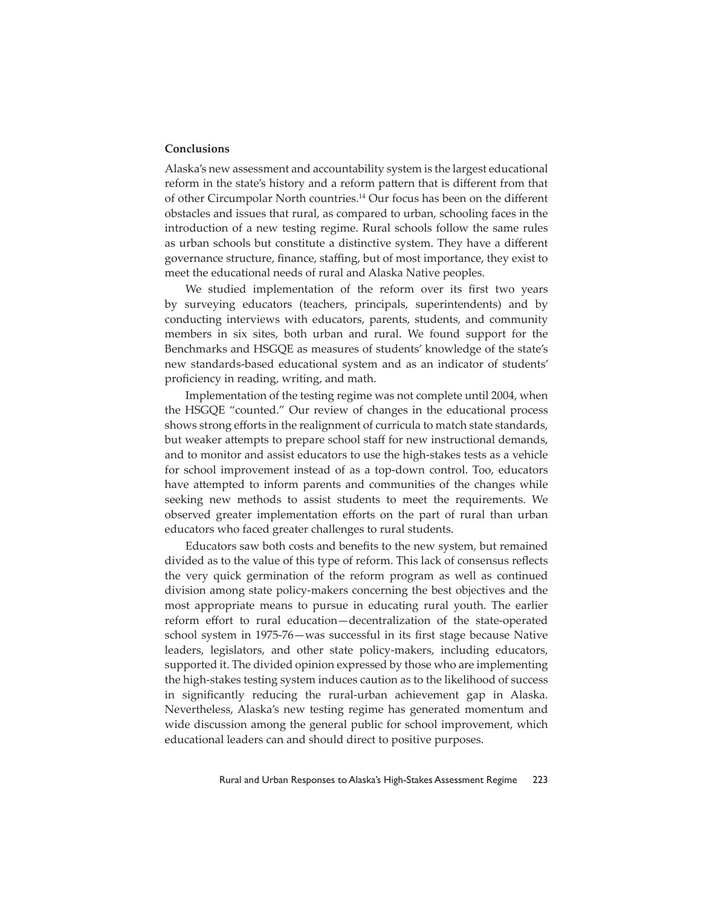# **Conclusions**

Alaska's new assessment and accountability system is the largest educational reform in the state's history and a reform pattern that is different from that of other Circumpolar North countries.<sup>14</sup> Our focus has been on the different obstacles and issues that rural, as compared to urban, schooling faces in the introduction of a new testing regime. Rural schools follow the same rules as urban schools but constitute a distinctive system. They have a different governance structure, finance, staffing, but of most importance, they exist to meet the educational needs of rural and Alaska Native peoples.

We studied implementation of the reform over its first two years by surveying educators (teachers, principals, superintendents) and by conducting interviews with educators, parents, students, and community members in six sites, both urban and rural. We found support for the Benchmarks and HSGQE as measures of students' knowledge of the state's new standards-based educational system and as an indicator of students' proficiency in reading, writing, and math.

Implementation of the testing regime was not complete until 2004, when the HSGQE "counted." Our review of changes in the educational process shows strong efforts in the realignment of curricula to match state standards, but weaker attempts to prepare school staff for new instructional demands, and to monitor and assist educators to use the high-stakes tests as a vehicle for school improvement instead of as a top-down control. Too, educators have attempted to inform parents and communities of the changes while seeking new methods to assist students to meet the requirements. We observed greater implementation efforts on the part of rural than urban educators who faced greater challenges to rural students.

Educators saw both costs and benefits to the new system, but remained divided as to the value of this type of reform. This lack of consensus reflects the very quick germination of the reform program as well as continued division among state policy-makers concerning the best objectives and the most appropriate means to pursue in educating rural youth. The earlier reform effort to rural education—decentralization of the state-operated school system in 1975-76-was successful in its first stage because Native leaders, legislators, and other state policy-makers, including educators, supported it. The divided opinion expressed by those who are implementing the high-stakes testing system induces caution as to the likelihood of success in significantly reducing the rural-urban achievement gap in Alaska. Nevertheless, Alaska's new testing regime has generated momentum and wide discussion among the general public for school improvement, which educational leaders can and should direct to positive purposes.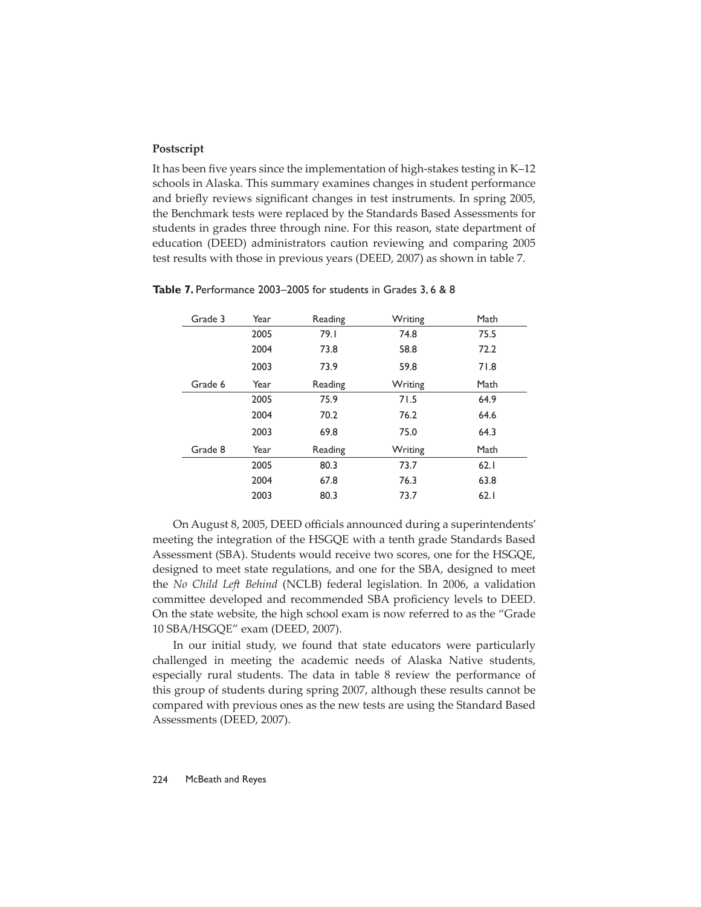# **Postscript**

It has been five years since the implementation of high-stakes testing in K–12 schools in Alaska. This summary examines changes in student performance and briefly reviews significant changes in test instruments. In spring 2005, the Benchmark tests were replaced by the Standards Based Assessments for students in grades three through nine. For this reason, state department of education (DEED) administrators caution reviewing and comparing 2005 test results with those in previous years (DEED, 2007) as shown in table 7.

| Grade 3 | Year | Reading | Writing | Math |
|---------|------|---------|---------|------|
|         | 2005 | 79.I    | 74.8    | 75.5 |
|         | 2004 | 73.8    | 58.8    | 72.2 |
|         | 2003 | 73.9    | 59.8    | 71.8 |
| Grade 6 | Year | Reading | Writing | Math |
|         | 2005 | 75.9    | 71.5    | 64.9 |
|         | 2004 | 70.2    | 76.2    | 64.6 |
|         | 2003 | 69.8    | 75.0    | 64.3 |
| Grade 8 | Year | Reading | Writing | Math |
|         | 2005 | 80.3    | 73.7    | 62.1 |
|         | 2004 | 67.8    | 76.3    | 63.8 |
|         | 2003 | 80.3    | 73.7    | 62.1 |

**Table 7.** Performance 2003–2005 for students in Grades 3, 6 & 8

On August 8, 2005, DEED officials announced during a superintendents' meeting the integration of the HSGQE with a tenth grade Standards Based Assessment (SBA). Students would receive two scores, one for the HSGQE, designed to meet state regulations, and one for the SBA, designed to meet the *No Child Left Behind* (NCLB) federal legislation. In 2006, a validation committee developed and recommended SBA proficiency levels to DEED. On the state website, the high school exam is now referred to as the "Grade 10 SBA/HSGQE" exam (DEED, 2007).

In our initial study, we found that state educators were particularly challenged in meeting the academic needs of Alaska Native students, especially rural students. The data in table 8 review the performance of this group of students during spring 2007, although these results cannot be compared with previous ones as the new tests are using the Standard Based Assessments (DEED, 2007).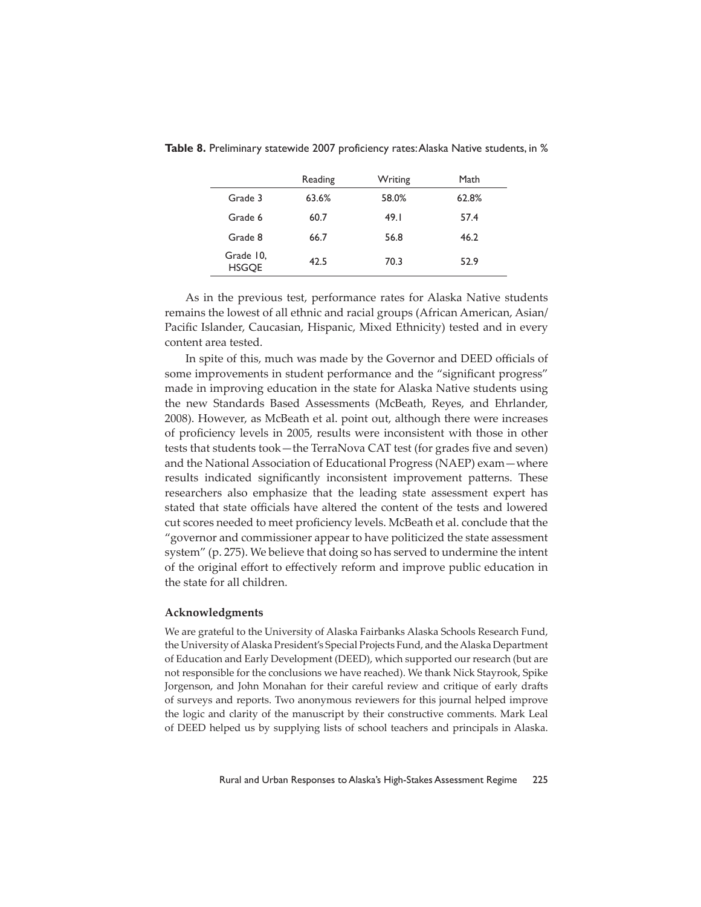|                           | Reading | Writing | Math  |
|---------------------------|---------|---------|-------|
| Grade 3                   | 63.6%   | 58.0%   | 62.8% |
| Grade 6                   | 60.7    | 49.1    | 57.4  |
| Grade 8                   | 66.7    | 56.8    | 46.2  |
| Grade 10,<br><b>HSGOE</b> | 42.5    | 70.3    | 52.9  |

**Table 8.** Preliminary statewide 2007 proficiency rates: Alaska Native students, in %

As in the previous test, performance rates for Alaska Native students remains the lowest of all ethnic and racial groups (African American, Asian/ Pacific Islander, Caucasian, Hispanic, Mixed Ethnicity) tested and in every content area tested.

In spite of this, much was made by the Governor and DEED officials of some improvements in student performance and the "significant progress" made in improving education in the state for Alaska Native students using the new Standards Based Assessments (McBeath, Reyes, and Ehrlander, 2008). However, as McBeath et al. point out, although there were increases of proficiency levels in 2005, results were inconsistent with those in other tests that students took—the TerraNova CAT test (for grades five and seven) and the National Association of Educational Progress (NAEP) exam—where results indicated significantly inconsistent improvement patterns. These researchers also emphasize that the leading state assessment expert has stated that state officials have altered the content of the tests and lowered cut scores needed to meet proficiency levels. McBeath et al. conclude that the "governor and commissioner appear to have politicized the state assessment system" (p. 275). We believe that doing so has served to undermine the intent of the original effort to effectively reform and improve public education in the state for all children.

# **Acknowledgments**

We are grateful to the University of Alaska Fairbanks Alaska Schools Research Fund, the University of Alaska President's Special Projects Fund, and the Alaska Department of Education and Early Development (DEED), which supported our research (but are not responsible for the conclusions we have reached). We thank Nick Stayrook, Spike Jorgenson, and John Monahan for their careful review and critique of early drafts of surveys and reports. Two anonymous reviewers for this journal helped improve the logic and clarity of the manuscript by their constructive comments. Mark Leal of DEED helped us by supplying lists of school teachers and principals in Alaska.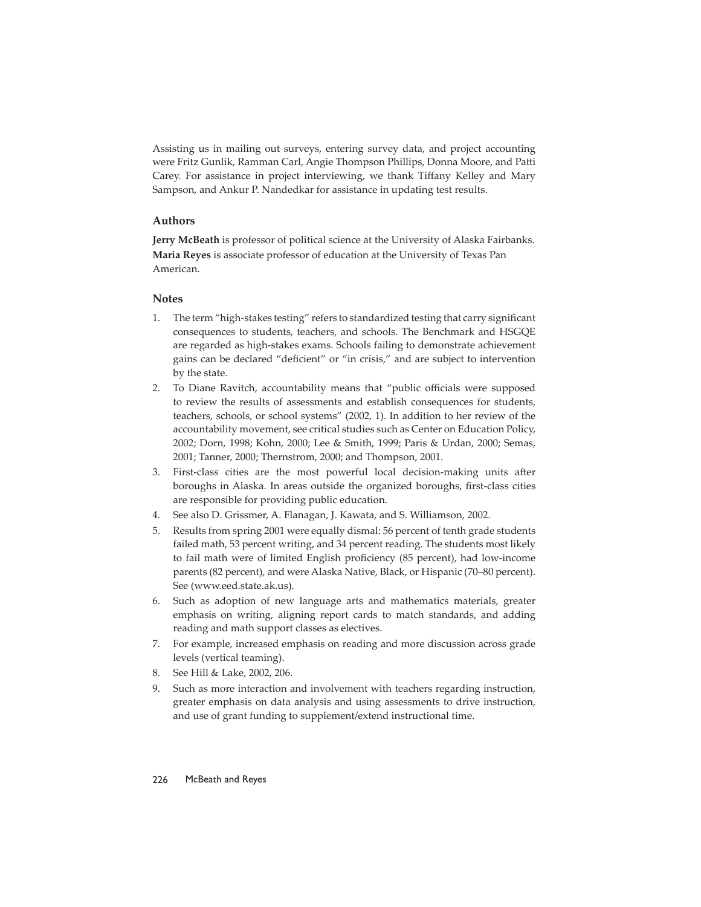Assisting us in mailing out surveys, entering survey data, and project accounting were Fritz Gunlik, Ramman Carl, Angie Thompson Phillips, Donna Moore, and Patti Carey. For assistance in project interviewing, we thank Tiffany Kelley and Mary Sampson, and Ankur P. Nandedkar for assistance in updating test results.

# **Authors**

**Jerry McBeath** is professor of political science at the University of Alaska Fairbanks. **Maria Reyes** is associate professor of education at the University of Texas Pan American.

# **Notes**

- 1. The term "high-stakes testing" refers to standardized testing that carry significant consequences to students, teachers, and schools. The Benchmark and HSGQE are regarded as high-stakes exams. Schools failing to demonstrate achievement gains can be declared "deficient" or "in crisis," and are subject to intervention by the state.
- 2. To Diane Ravitch, accountability means that "public officials were supposed to review the results of assessments and establish consequences for students, teachers, schools, or school systems" (2002, 1). In addition to her review of the accountability movement, see critical studies such as Center on Education Policy, 2002; Dorn, 1998; Kohn, 2000; Lee & Smith, 1999; Paris & Urdan, 2000; Semas, 2001; Tanner, 2000; Thernstrom, 2000; and Thompson, 2001.
- 3. First-class cities are the most powerful local decision-making units after boroughs in Alaska. In areas outside the organized boroughs, first-class cities are responsible for providing public education.
- 4. See also D. Grissmer, A. Flanagan, J. Kawata, and S. Williamson, 2002.
- 5. Results from spring 2001 were equally dismal: 56 percent of tenth grade students failed math, 53 percent writing, and 34 percent reading. The students most likely to fail math were of limited English proficiency (85 percent), had low-income parents (82 percent), and were Alaska Native, Black, or Hispanic (70–80 percent). See (www.eed.state.ak.us).
- 6. Such as adoption of new language arts and mathematics materials, greater emphasis on writing, aligning report cards to match standards, and adding reading and math support classes as electives.
- 7. For example, increased emphasis on reading and more discussion across grade levels (vertical teaming).
- 8. See Hill & Lake, 2002, 206.
- 9. Such as more interaction and involvement with teachers regarding instruction, greater emphasis on data analysis and using assessments to drive instruction, and use of grant funding to supplement/extend instructional time.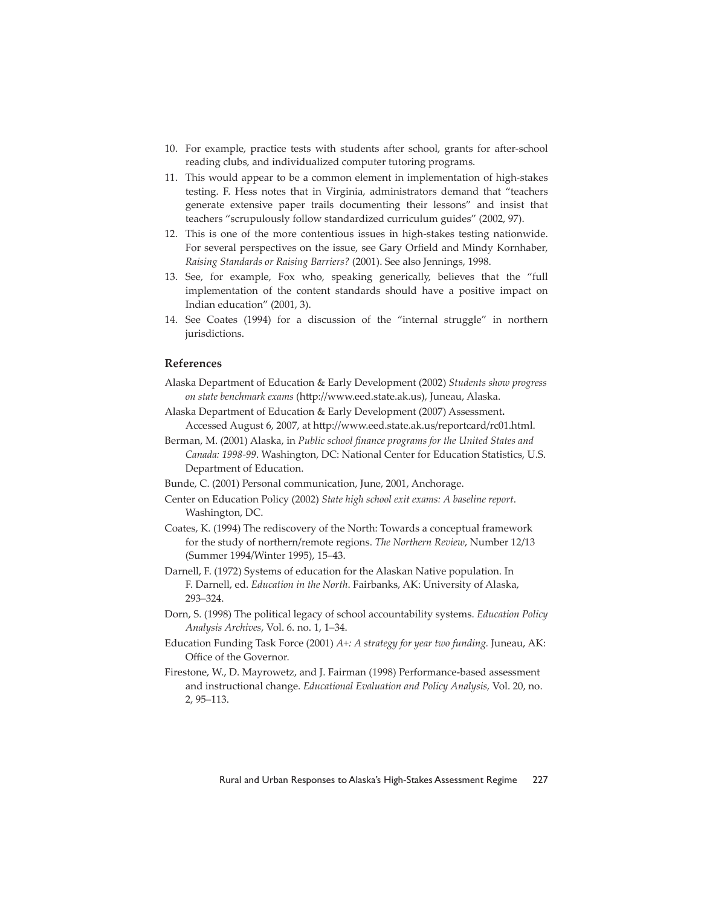- 10. For example, practice tests with students after school, grants for after-school reading clubs, and individualized computer tutoring programs.
- 11. This would appear to be a common element in implementation of high-stakes testing. F. Hess notes that in Virginia, administrators demand that "teachers generate extensive paper trails documenting their lessons" and insist that teachers "scrupulously follow standardized curriculum guides" (2002, 97).
- 12. This is one of the more contentious issues in high-stakes testing nationwide. For several perspectives on the issue, see Gary Orfield and Mindy Kornhaber, *Raising Standards or Raising Barriers?* (2001). See also Jennings, 1998.
- 13. See, for example, Fox who, speaking generically, believes that the "full implementation of the content standards should have a positive impact on Indian education" (2001, 3).
- 14. See Coates (1994) for a discussion of the "internal struggle" in northern jurisdictions.

# **References**

- Alaska Department of Education & Early Development (2002) *Students show progress on state benchmark exams* (htt p://www.eed.state.ak.us), Juneau, Alaska.
- Alaska Department of Education & Early Development (2007) Assessment**.**  Accessed August 6, 2007, at http://www.eed.state.ak.us/reportcard/rc01.html.
- Berman, M. (2001) Alaska, in *Public school finance programs for the United States and Canada: 1998-99*. Washington, DC: National Center for Education Statistics, U.S. Department of Education.
- Bunde, C. (2001) Personal communication, June, 2001, Anchorage.
- Center on Education Policy (2002) *State high school exit exams: A baseline report*. Washington, DC.
- Coates, K. (1994) The rediscovery of the North: Towards a conceptual framework for the study of northern/remote regions. *The Northern Review*, Number 12/13 (Summer 1994/Winter 1995), 15–43.
- Darnell, F. (1972) Systems of education for the Alaskan Native population. In F. Darnell, ed. *Education in the North*. Fairbanks, AK: University of Alaska, 293–324.
- Dorn, S. (1998) The political legacy of school accountability systems. *Education Policy Analysis Archives*, Vol. 6. no. 1, 1–34.
- Education Funding Task Force (2001) *A+: A strategy for year two funding.* Juneau, AK: Office of the Governor.

Firestone, W., D. Mayrowetz, and J. Fairman (1998) Performance-based assessment and instructional change. *Educational Evaluation and Policy Analysis,* Vol. 20, no. 2, 95–113.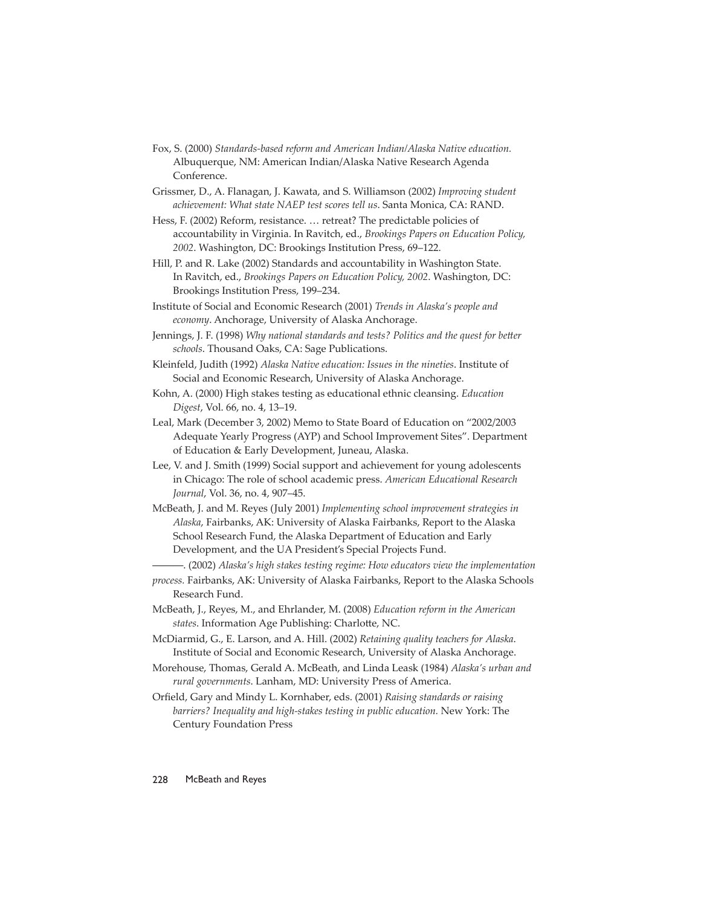- Fox, S. (2000) *Standards-based reform and American Indian/Alaska Native education.*  Albuquerque, NM: American Indian/Alaska Native Research Agenda Conference.
- Grissmer, D., A. Flanagan, J. Kawata, and S. Williamson (2002) *Improving student achievement: What state NAEP test scores tell us*. Santa Monica, CA: RAND.
- Hess, F. (2002) Reform, resistance. … retreat? The predictable policies of accountability in Virginia. In Ravitch, ed., *Brookings Papers on Education Policy, 2002*. Washington, DC: Brookings Institution Press, 69–122.
- Hill, P. and R. Lake (2002) Standards and accountability in Washington State. In Ravitch, ed., *Brookings Papers on Education Policy, 2002*. Washington, DC: Brookings Institution Press, 199–234.
- Institute of Social and Economic Research (2001) *Trends in Alaska's people and economy*. Anchorage, University of Alaska Anchorage.
- Jennings, J. F. (1998) *Why national standards and tests? Politics and the quest for better schools*. Thousand Oaks, CA: Sage Publications.
- Kleinfeld, Judith (1992) *Alaska Native education: Issues in the nineties*. Institute of Social and Economic Research, University of Alaska Anchorage.
- Kohn, A. (2000) High stakes testing as educational ethnic cleansing. *Education Digest*, Vol. 66, no. 4, 13–19.
- Leal, Mark (December 3, 2002) Memo to State Board of Education on "2002/2003 Adequate Yearly Progress (AYP) and School Improvement Sites". Department of Education & Early Development, Juneau, Alaska.
- Lee, V. and J. Smith (1999) Social support and achievement for young adolescents in Chicago: The role of school academic press. *American Educational Research Journal*, Vol. 36, no. 4, 907–45.
- McBeath, J. and M. Reyes (July 2001) *Implementing school improvement strategies in Alaska*, Fairbanks, AK: University of Alaska Fairbanks, Report to the Alaska School Research Fund, the Alaska Department of Education and Early Development, and the UA President's Special Projects Fund.
	- ———. (2002) *Alaska's high stakes testing regime: How educators view the implementation*
- *process.* Fairbanks, AK: University of Alaska Fairbanks, Report to the Alaska Schools Research Fund.
- McBeath, J., Reyes, M., and Ehrlander, M. (2008) *Education reform in the American*  states. Information Age Publishing: Charlotte, NC.
- McDiarmid, G., E. Larson, and A. Hill. (2002) *Retaining quality teachers for Alaska*. Institute of Social and Economic Research, University of Alaska Anchorage.
- Morehouse, Thomas, Gerald A. McBeath, and Linda Leask (1984) *Alaska's urban and rural governments*. Lanham, MD: University Press of America.
- Orfield, Gary and Mindy L. Kornhaber, eds. (2001) *Raising standards or raising barriers? Inequality and high-stakes testing in public education.* New York: The Century Foundation Press